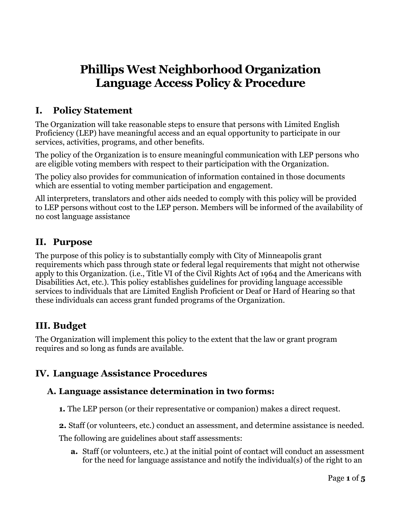# **Phillips West Neighborhood Organization Language Access Policy & Procedure**

## **I. Policy Statement**

The Organization will take reasonable steps to ensure that persons with Limited English Proficiency (LEP) have meaningful access and an equal opportunity to participate in our services, activities, programs, and other benefits.

The policy of the Organization is to ensure meaningful communication with LEP persons who are eligible voting members with respect to their participation with the Organization.

The policy also provides for communication of information contained in those documents which are essential to voting member participation and engagement.

All interpreters, translators and other aids needed to comply with this policy will be provided to LEP persons without cost to the LEP person. Members will be informed of the availability of no cost language assistance

### **II. Purpose**

The purpose of this policy is to substantially comply with City of Minneapolis grant requirements which pass through state or federal legal requirements that might not otherwise apply to this Organization. (i.e., Title VI of the Civil Rights Act of 1964 and the Americans with Disabilities Act, etc.). This policy establishes guidelines for providing language accessible services to individuals that are Limited English Proficient or Deaf or Hard of Hearing so that these individuals can access grant funded programs of the Organization.

### **III. Budget**

The Organization will implement this policy to the extent that the law or grant program requires and so long as funds are available.

### **IV. Language Assistance Procedures**

#### **A. Language assistance determination in two forms:**

- **1.** The LEP person (or their representative or companion) makes a direct request.
- **2.** Staff (or volunteers, etc.) conduct an assessment, and determine assistance is needed.

The following are guidelines about staff assessments:

**a.** Staff (or volunteers, etc.) at the initial point of contact will conduct an assessment for the need for language assistance and notify the individual(s) of the right to an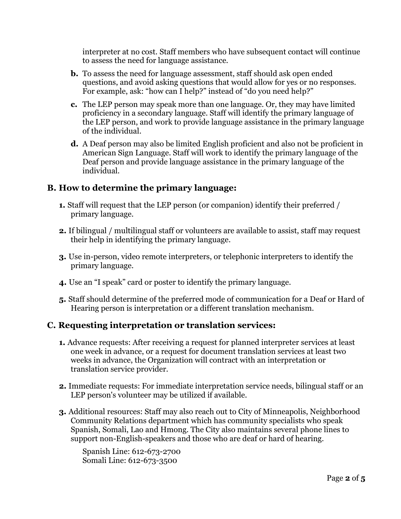interpreter at no cost. Staff members who have subsequent contact will continue to assess the need for language assistance.

- **b.** To assess the need for language assessment, staff should ask open ended questions, and avoid asking questions that would allow for yes or no responses. For example, ask: "how can I help?" instead of "do you need help?"
- **c.** The LEP person may speak more than one language. Or, they may have limited proficiency in a secondary language. Staff will identify the primary language of the LEP person, and work to provide language assistance in the primary language of the individual.
- **d.** A Deaf person may also be limited English proficient and also not be proficient in American Sign Language. Staff will work to identify the primary language of the Deaf person and provide language assistance in the primary language of the individual.

#### **B. How to determine the primary language:**

- **1.** Staff will request that the LEP person (or companion) identify their preferred / primary language.
- **2.** If bilingual / multilingual staff or volunteers are available to assist, staff may request their help in identifying the primary language.
- **3.** Use in-person, video remote interpreters, or telephonic interpreters to identify the primary language.
- **4.** Use an "I speak" card or poster to identify the primary language.
- **5.** Staff should determine of the preferred mode of communication for a Deaf or Hard of Hearing person is interpretation or a different translation mechanism.

#### **C. Requesting interpretation or translation services:**

- **1.** Advance requests: After receiving a request for planned interpreter services at least one week in advance, or a request for document translation services at least two weeks in advance, the Organization will contract with an interpretation or translation service provider.
- **2.** Immediate requests: For immediate interpretation service needs, bilingual staff or an LEP person's volunteer may be utilized if available.
- **3.** Additional resources: Staff may also reach out to City of Minneapolis, Neighborhood Community Relations department which has community specialists who speak Spanish, Somali, Lao and Hmong. The City also maintains several phone lines to support non-English-speakers and those who are deaf or hard of hearing.

Spanish Line: 612-673-2700 Somali Line: 612-673-3500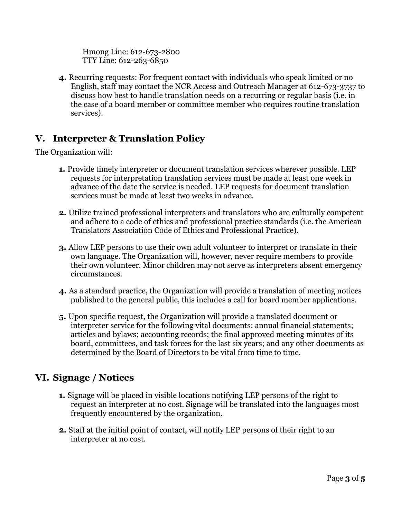Hmong Line: 612-673-2800 TTY Line: 612-263-6850

**4.** Recurring requests: For frequent contact with individuals who speak limited or no English, staff may contact the NCR Access and Outreach Manager at 612-673-3737 to discuss how best to handle translation needs on a recurring or regular basis (i.e. in the case of a board member or committee member who requires routine translation services).

# **V. Interpreter & Translation Policy**

The Organization will:

- **1.** Provide timely interpreter or document translation services wherever possible. LEP requests for interpretation translation services must be made at least one week in advance of the date the service is needed. LEP requests for document translation services must be made at least two weeks in advance.
- **2.** Utilize trained professional interpreters and translators who are culturally competent and adhere to a code of ethics and professional practice standards (i.e. the American Translators Association Code of Ethics and Professional Practice).
- **3.** Allow LEP persons to use their own adult volunteer to interpret or translate in their own language. The Organization will, however, never require members to provide their own volunteer. Minor children may not serve as interpreters absent emergency circumstances.
- **4.** As a standard practice, the Organization will provide a translation of meeting notices published to the general public, this includes a call for board member applications.
- **5.** Upon specific request, the Organization will provide a translated document or interpreter service for the following vital documents: annual financial statements; articles and bylaws; accounting records; the final approved meeting minutes of its board, committees, and task forces for the last six years; and any other documents as determined by the Board of Directors to be vital from time to time.

# **VI. Signage / Notices**

- **1.** Signage will be placed in visible locations notifying LEP persons of the right to request an interpreter at no cost. Signage will be translated into the languages most frequently encountered by the organization.
- **2.** Staff at the initial point of contact, will notify LEP persons of their right to an interpreter at no cost.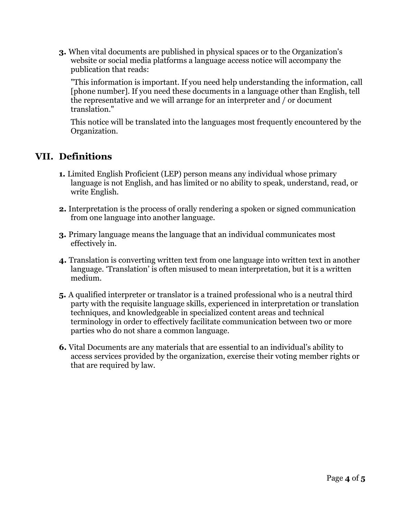**3.** When vital documents are published in physical spaces or to the Organization's website or social media platforms a language access notice will accompany the publication that reads:

"This information is important. If you need help understanding the information, call [phone number]. If you need these documents in a language other than English, tell the representative and we will arrange for an interpreter and / or document translation."

This notice will be translated into the languages most frequently encountered by the Organization.

### **VII. Definitions**

- **1.** Limited English Proficient (LEP) person means any individual whose primary language is not English, and has limited or no ability to speak, understand, read, or write English.
- **2.** Interpretation is the process of orally rendering a spoken or signed communication from one language into another language.
- **3.** Primary language means the language that an individual communicates most effectively in.
- **4.** Translation is converting written text from one language into written text in another language. 'Translation' is often misused to mean interpretation, but it is a written medium.
- **5.** A qualified interpreter or translator is a trained professional who is a neutral third party with the requisite language skills, experienced in interpretation or translation techniques, and knowledgeable in specialized content areas and technical terminology in order to effectively facilitate communication between two or more parties who do not share a common language.
- **6.** Vital Documents are any materials that are essential to an individual's ability to access services provided by the organization, exercise their voting member rights or that are required by law.